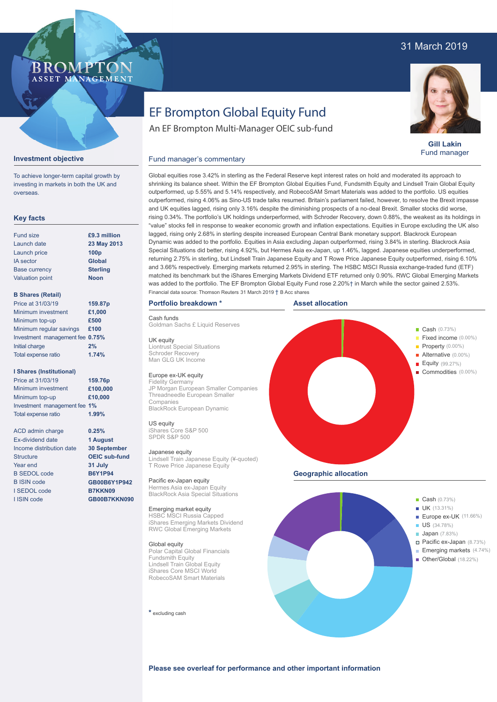# 31 March 2019

# BROMP ASSET MANAGEMENT

# EF Brompton Global Equity Fund

An EF Brompton Multi-Manager OEIC sub-fund



**Gill Lakin** Fund manager

### **Investment objective**

To achieve longer-term capital growth by investing in markets in both the UK and overseas.

## **Key facts**

| £9.3 million<br>23 May 2013 |
|-----------------------------|
|                             |
|                             |
| 100 <sub>p</sub>            |
| <b>Global</b>               |
| <b>Sterling</b>             |
| <b>Noon</b>                 |
|                             |

## **B Shares (Retail)**

| Price at 31/03/19               | 159.87p |
|---------------------------------|---------|
| Minimum investment              | £1,000  |
| Minimum top-up                  | £500    |
| Minimum regular savings         | £100    |
| Investment management fee 0.75% |         |
| Initial charge                  | 2%      |
| Total expense ratio             | 1.74%   |
|                                 |         |

## **I Shares (Institutional)**

Minimum investment Minimum top-up Investment management fee **1%** Total expense ratio **£100,000 £10,000** Price at 31/03/19 **159.76p 1.99%**

> **0.25% 1 August 30 September OEIC sub-fund 31 July B6Y1P94 GB00B6Y1P942 B7KKN09 GB00B7KKN090**

ACD admin charge Ex-dividend date Income distribution date Structure Year end B SEDOL code B ISIN code I SEDOL code I ISIN code

shrinking its balance sheet. Within the EF Brompton Global Equities Fund, Fundsmith Equity and Lindsell Train Global Equity outperformed, up 5.55% and 5.14% respectively, and RobecoSAM Smart Materials was added to the portfolio. US equities outperformed, rising 4.06% as Sino-US trade talks resumed. Britain's parliament failed, however, to resolve the Brexit impasse and UK equities lagged, rising only 3.16% despite the diminishing prospects of a no-deal Brexit. Smaller stocks did worse, rising 0.34%. The portfolio's UK holdings underperformed, with Schroder Recovery, down 0.88%, the weakest as its holdings in "value" stocks fell in response to weaker economic growth and inflation expectations. Equities in Europe excluding the UK also lagged, rising only 2.68% in sterling despite increased European Central Bank monetary support. Blackrock European Dynamic was added to the portfolio. Equities in Asia excluding Japan outperformed, rising 3.84% in sterling. Blackrock Asia Special Situations did better, rising 4.92%, but Hermes Asia ex-Japan, up 1.46%, lagged. Japanese equities underperformed, returning 2.75% in sterling, but Lindsell Train Japanese Equity and T Rowe Price Japanese Equity outperformed, rising 6.10% and 3.66% respectively. Emerging markets returned 2.95% in sterling. The HSBC MSCI Russia exchange-traded fund (ETF) matched its benchmark but the iShares Emerging Markets Dividend ETF returned only 0.90%. RWC Global Emerging Markets was added to the portfolio. The EF Brompton Global Equity Fund rose 2.20%† in March while the sector gained 2.53%. Financial data source: Thomson Reuters 31 March 2019 † B Acc shares

Global equities rose 3.42% in sterling as the Federal Reserve kept interest rates on hold and moderated its approach to

## **Portfolio breakdown \***

Cash funds

Goldman Sachs £ Liquid Reserves

Fund manager's commentary

UK equity Liontrust Special Situations Schroder Recovery Man GLG UK Income

## Europe ex-UK equity

Fidelity Germany JP Morgan European Smaller Companies Threadneedle European Smaller Companies BlackRock European Dynamic

# US equity

iShares Core S&P 500 SPDR S&P 500

Japanese equity Lindsell Train Japanese Equity (¥-quoted) T Rowe Price Japanese Equity

Pacific ex-Japan equity Hermes Asia ex-Japan Equity BlackRock Asia Special Situations

# Emerging market equity

HSBC MSCI Russia Capped iShares Emerging Markets Dividend RWC Global Emerging Markets

#### Global equity

Polar Capital Global Financials Fundsmith Equity Lindsell Train Global Equity iShares Core MSCI World RobecoSAM Smart Materials

#### **\*** excluding cash





ł